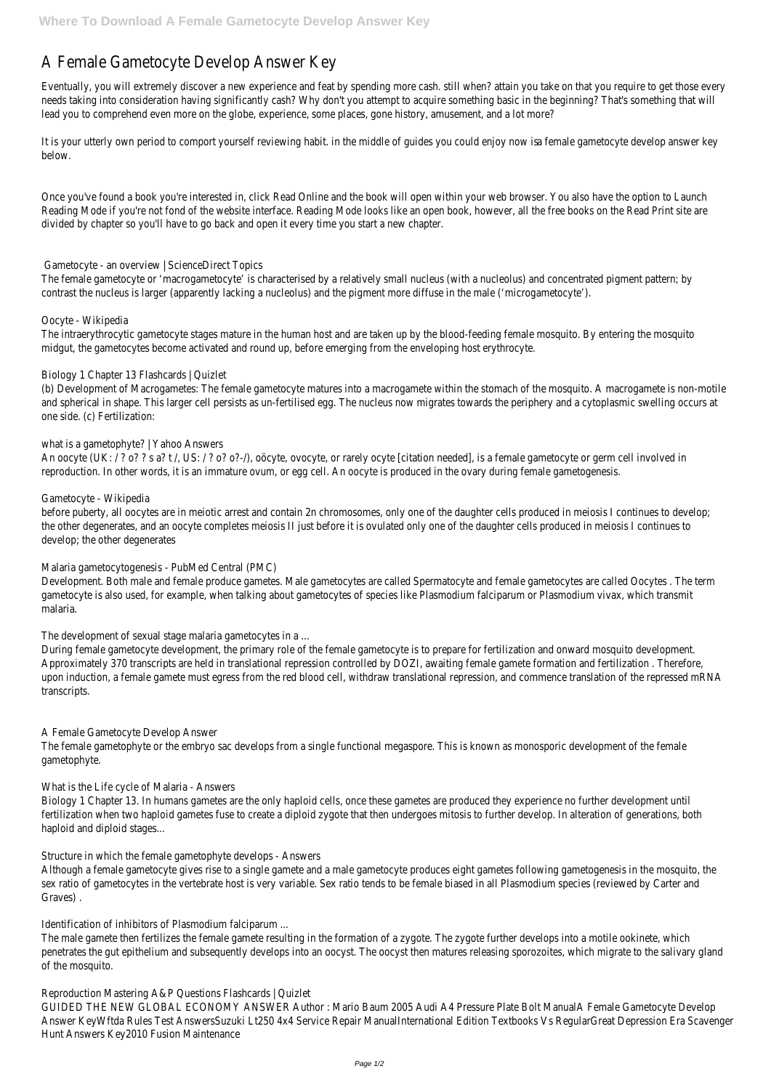# A Female Gametocyte Develop Answer Key

Eventually, you will extremely discover a new experience and feat by spending more cash. still when? attain you take on that you require to get needs taking into consideration having significantly cash? Why don't you attempt to acquire something basic in the beginning? That's somethin lead you to comprehend even more on the globe, experience, some places, gone history, amusement, and a lot more?

It is your utterly own period to comport yourself reviewing habit. in the middle of guides you could female manimetocyte develop answer key below.

Once you've found a book you're interested in, click Read Online and the book will open within your web browser. You also have the option to L Reading Mode if you're not fond of the website interface. Reading Mode looks like an open book, however, all the free books on the Read Print divided by chapter so you'll have to go back and open it every time you start a new chapter.

The female gametocyte or 'macrogametocyte' is characterised by a relatively small nucleus (with a nucleolus) and concentrated pigment patter contrast the nucleus is larger (apparently lacking a nucleolus) and the pigment more diffuse in the male ('microgametocyte').

The intraerythrocytic gametocyte stages mature in the human host and are taken up by the blood-feeding female mosquito. By entering the me midgut, the gametocytes become activated and round up, before emerging from the enveloping host erythrocyte.

(b) Development of Macrogametes: The female gametocyte matures into a macrogamete within the stomach of the mosquito. A macrogamete and spherical in shape. This larger cell persists as un-fertilised egg. The nucleus now migrates towards the periphery and a cytoplasmic swelling one side. (c) Fertilization:

## Gametocyte - an overview | ScienceDirect Topics

An oocyte (UK: / ? o? ? s a? t /, US: / ? o? o?-/), oöcyte, ovocyte, or rarely ocyte [citation needed], is a female gametocyte or germ cell involve reproduction. In other words, it is an immature ovum, or egg cell. An oocyte is produced in the ovary during female gametogenesis.

before puberty, all oocytes are in meiotic arrest and contain 2n chromosomes, only one of the daughter cells produced in meiosis I continues t the other degenerates, and an oocyte completes meiosis II just before it is ovulated only one of the daughter cells produced in meiosis I continues develop; the other degenerates

## Oocyte - Wikipedia

Development. Both male and female produce gametes. Male gametocytes are called Spermatocyte and female gametocytes are called Oocytes. gametocyte is also used, for example, when talking about gametocytes of species like Plasmodium falciparum or Plasmodium vivax, which trans malaria.

## Biology 1 Chapter 13 Flashcards | Quizlet

During female gametocyte development, the primary role of the female gametocyte is to prepare for fertilization and onward mosquito develop Approximately 370 transcripts are held in translational repression controlled by DOZI, awaiting female gamete formation and fertilization. There upon induction, a female gamete must egress from the red blood cell, withdraw translational repression, and commence translation of the repr transcripts.

# what is a gametophyte? | Yahoo Answers

Although a female gametocyte gives rise to a single gamete and a male gametocyte produces eight gametes following gametogenesis in the mo sex ratio of gametocytes in the vertebrate host is very variable. Sex ratio tends to be female biased in all Plasmodium species (reviewed by Carter and Allex and the Versus and Allex and the Versus Andre and Allex and the Graves) .

# Gametocyte - Wikipedia

The male gamete then fertilizes the female gamete resulting in the formation of a zygote. The zygote further develops into a motile ookinete, w penetrates the gut epithelium and subsequently develops into an oocyst. The oocyst then matures releasing sporozoites, which migrate to the of the mosquito.

#### Malaria gametocytogenesis - PubMed Central (PMC)

The development of sexual stage malaria gametocytes in a ...

# A Female Gametocyte Develop Answer

The female gametophyte or the embryo sac develops from a single functional megaspore. This is known as monosporic development of the female gametophyte.

#### What is the Life cycle of Malaria - Answers

Biology 1 Chapter 13. In humans gametes are the only haploid cells, once these gametes are produced they experience no further development fertilization when two haploid gametes fuse to create a diploid zygote that then undergoes mitosis to further develop. In alteration of generati

haploid and diploid stages...

Structure in which the female gametophyte develops - Answers

Identification of inhibitors of Plasmodium falciparum ...

Reproduction Mastering A&P Questions Flashcards | Quizlet

GUIDED THE NEW GLOBAL ECONOMY ANSWER Author : Mario Baum 2005 Audi A4 Pressure Plate Bolt ManualA Female Gametocyte Develop Answer KeyWftda Rules Test AnswersSuzuki Lt250 4x4 Service Repair ManualInternational Edition Textbooks Vs RegularGreat Depression Era S Hunt Answers Key2010 Fusion Maintenance